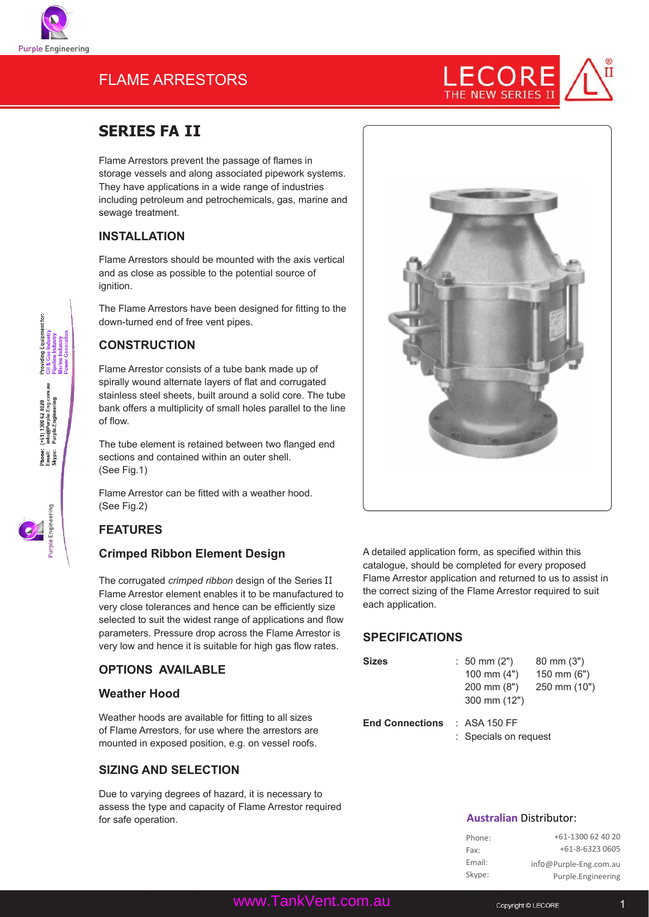

(+61) 1300 62 4020<br>info@Purple-Eng.com.a<br>Purple.Engineering

Phone:<br>Email:<br>Skype:

# FLAME ARRESTORS



# **SERIES FA II**

Flame Arrestors prevent the passage of flames in storage vessels and along associated pipework systems. They have applications in a wide range of industries including petroleum and petrochemicals, gas, marine and sewage treatment.

# **INSTALLATION**

Flame Arrestors should be mounted with the axis vertical and as close as possible to the potential source of ignition.

The Flame Arrestors have been designed for fitting to the down-turned end of free vent pipes.

## **CONSTRUCTION**

Flame Arrestor consists of a tube bank made up of spirally wound alternate layers of flat and corrugated stainless steel sheets, built around a solid core. The tube bank offers a multiplicity of small holes parallel to the line of flow.

The tube element is retained between two flanged end sections and contained within an outer shell. (See Fig.1)

Flame Arrestor can be fitted with a weather hood. (See Fig.2)

# **FEATURES**

## **Crimped Ribbon Element Design**

The corrugated *crimped ribbon* design of the Series II Flame Arrestor element enables it to be manufactured to very close tolerances and hence can be efficiently size selected to suit the widest range of applications and flow parameters. Pressure drop across the Flame Arrestor is very low and hence it is suitable for high gas flow rates.

## **OPTIONS AVAILABLE**

#### **Weather Hood**

Weather hoods are available for fitting to all sizes of Flame Arrestors, for use where the arrestors are mounted in exposed position, e.g. on vessel roofs.

## **SIZING AND SELECTION**

Due to varying degrees of hazard, it is necessary to assess the type and capacity of Flame Arrestor required for safe operation.



A detailed application form, as specified within this catalogue, should be completed for every proposed Flame Arrestor application and returned to us to assist in the correct sizing of the Flame Arrestor required to suit each application.

# **Specifications**

| <b>Sizes</b>           | $: 50 \text{ mm} (2")$<br>100 mm $(4")$<br>$200 \, \text{mm}$ (8")<br>300 mm (12") | $80 \text{ mm} (3")$<br>$150 \text{ mm}$ (6")<br>250 mm (10") |
|------------------------|------------------------------------------------------------------------------------|---------------------------------------------------------------|
| <b>End Connections</b> | $\therefore$ ASA 150 FF<br>: Specials on request                                   |                                                               |

#### **Australian** Distributor:

| Phone: | +61-1300 62 40 20      |
|--------|------------------------|
| Fax:   | +61-8-6323 0605        |
| Email: | info@Purple-Eng.com.au |
| Skype: | Purple.Engineering     |

www.TankVent.com.au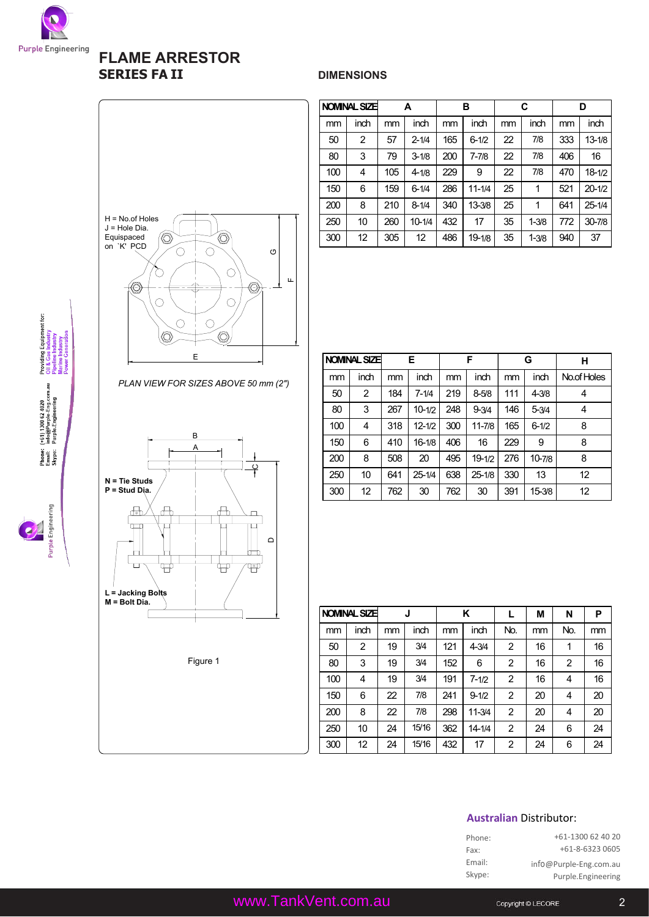

# **FLAME ARRESTOR FLAME ARRESTOR SERIES FA II** DIMENSIONS



| $H = No.$ of Holes<br>$J =$ Hole Dia.<br>Equispaced<br>on `K' PCD | O<br>Щ |
|-------------------------------------------------------------------|--------|
| E                                                                 |        |

|     | NOMINAL SIZE |     | A          |     | в          |    | C         |     | D          |  |
|-----|--------------|-----|------------|-----|------------|----|-----------|-----|------------|--|
| mm  | inch         | mm  | inch       | mm  | inch       | mm | inch      | mm  | inch       |  |
| 50  | 2            | 57  | $2 - 1/4$  | 165 | $6 - 1/2$  | 22 | 7/8       | 333 | $13 - 1/8$ |  |
| 80  | 3            | 79  | $3 - 1/8$  | 200 | $7 - 7/8$  | 22 | 7/8       | 406 | 16         |  |
| 100 | 4            | 105 | $4 - 1/8$  | 229 | 9          | 22 | 7/8       | 470 | $18 - 1/2$ |  |
| 150 | 6            | 159 | $6 - 1/4$  | 286 | $11 - 1/4$ | 25 | 1         | 521 | $20 - 1/2$ |  |
| 200 | 8            | 210 | $8 - 1/4$  | 340 | $13 - 3/8$ | 25 | 1         | 641 | 25-1/4     |  |
| 250 | 10           | 260 | $10 - 1/4$ | 432 | 17         | 35 | $1 - 3/8$ | 772 | 30-7/8     |  |
| 300 | 12           | 305 | 12         | 486 | $19 - 1/8$ | 35 | $1 - 3/8$ | 940 | 37         |  |

|     | NOMINAL SIZE |     | E.         |     | F          |     | G          | н           |
|-----|--------------|-----|------------|-----|------------|-----|------------|-------------|
| mm  | inch         | mm  | inch       | mm  | inch       | mm  | inch       | No.of Holes |
| 50  | 2            | 184 | $7 - 1/4$  | 219 | $8 - 5/8$  | 111 | $4 - 3/8$  |             |
| 80  | 3            | 267 | $10 - 1/2$ | 248 | $9 - 3/4$  | 146 | $5 - 3/4$  | 4           |
| 100 | 4            | 318 | $12 - 1/2$ | 300 | $11 - 7/8$ | 165 | $6 - 1/2$  | 8           |
| 150 | 6            | 410 | 16-1/8     | 406 | 16         | 229 | 9          | 8           |
| 200 | 8            | 508 | 20         | 495 | $19 - 1/2$ | 276 | $10 - 7/8$ | 8           |
| 250 | 10           | 641 | $25 - 1/4$ | 638 | $25 - 1/8$ | 330 | 13         | 12          |

300 | 12 | 762 | 30 | 762 | 30 | 391 | 15-3/8 | 12

|     | NOMINAL SIZE |    | J     |     | Κ          |                | М  | N   | P  |
|-----|--------------|----|-------|-----|------------|----------------|----|-----|----|
| mm  | inch         | mm | inch  | mm  | inch       | No.            | mm | No. | mm |
| 50  | 2            | 19 | 3/4   | 121 | $4 - 3/4$  | $\overline{c}$ | 16 | 1   | 16 |
| 80  | 3            | 19 | 3/4   | 152 | 6          | 2              | 16 | 2   | 16 |
| 100 | 4            | 19 | 3/4   | 191 | $7 - 1/2$  | 2              | 16 | 4   | 16 |
| 150 | 6            | 22 | 7/8   | 241 | $9 - 1/2$  | 2              | 20 | 4   | 20 |
| 200 | 8            | 22 | 7/8   | 298 | $11 - 3/4$ | 2              | 20 | 4   | 20 |
| 250 | 10           | 24 | 15/16 | 362 | $14 - 1/4$ | 2              | 24 | 6   | 24 |
| 300 | 12           | 24 | 15/16 | 432 | 17         | 2              | 24 | 6   | 24 |

### **Australian** Distributor:

| Phone: | +61-1300 62 40 20      |
|--------|------------------------|
| Fax:   | +61-8-6323 0605        |
| Email: | info@Purple-Eng.com.au |
| Skype: | Purple.Engineering     |



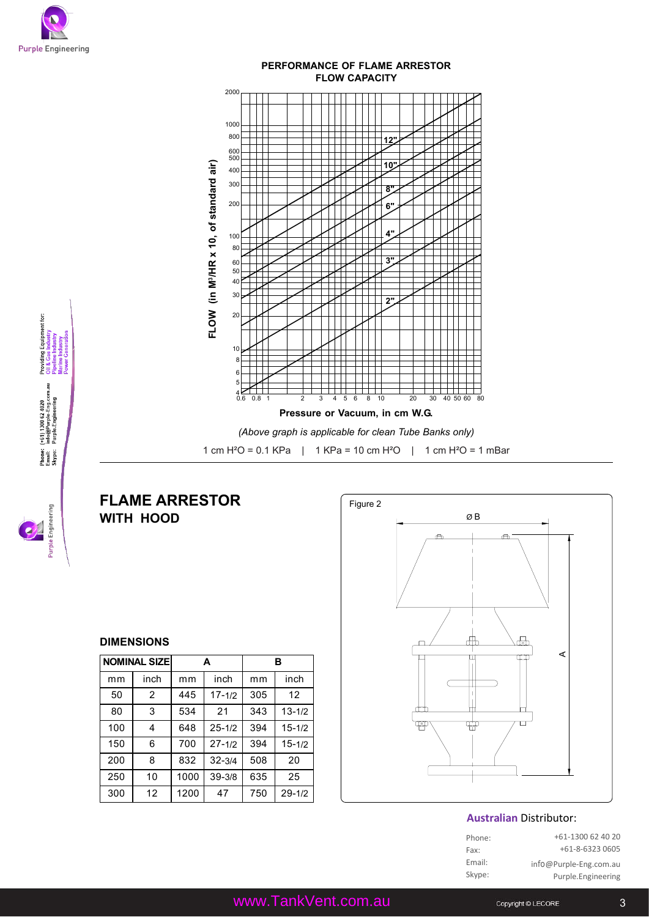

Providing Equipment for:<br>Oil & Gas Industry<br>Pipeline Industry

(+61) 1300 62 4020<br>info@Purple-Eng.com.au<br>Purple.Engineering

Phone:<br>Email:<br>Skype:

PH Engineer



#### **DIMENSIONS**

**WITH HOOD**

|     | <b>NOMINAL SIZE</b> |      | A          |     | в                 |
|-----|---------------------|------|------------|-----|-------------------|
| mm  | inch                | mm   | inch       | mm  | inch              |
| 50  | $\overline{2}$      | 445  | $17 - 1/2$ | 305 | $12 \overline{ }$ |
| 80  | 3                   | 534  | 21         | 343 | $13 - 1/2$        |
| 100 | 4                   | 648  | $25 - 1/2$ | 394 | $15 - 1/2$        |
| 150 | 6                   | 700  | $27 - 1/2$ | 394 | $15 - 1/2$        |
| 200 | 8                   | 832  | $32 - 3/4$ | 508 | 20                |
| 250 | 10                  | 1000 | $39 - 3/8$ | 635 | 25                |
| 300 | 12                  | 1200 | 47         | 750 | $29 - 1/2$        |



#### **Australian** Distributor:

| Phone: | +61-1300 62 40 20      |
|--------|------------------------|
| Fax:   | +61-8-6323 0605        |
| Email: | info@Purple-Eng.com.au |
| Skype: | Purple.Engineering     |
|        |                        |